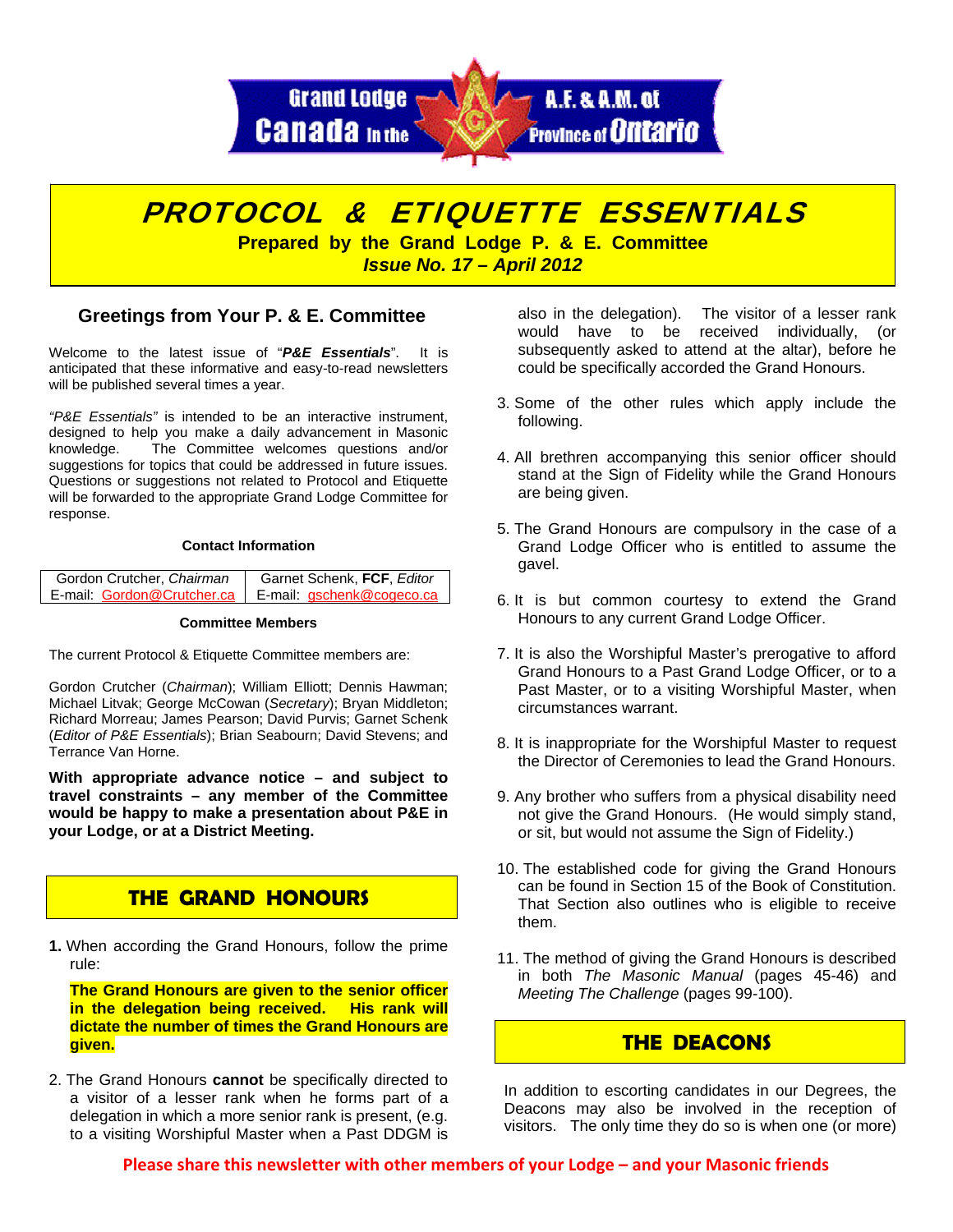



### **Greetings from Your P. & E. Committee**

Welcome to the latest issue of "*P&E Essentials*". It is anticipated that these informative and easy-to-read newsletters will be published several times a year.

*"P&E Essentials"* is intended to be an interactive instrument, designed to help you make a daily advancement in Masonic knowledge. The Committee welcomes questions and/or suggestions for topics that could be addressed in future issues. Questions or suggestions not related to Protocol and Etiquette will be forwarded to the appropriate Grand Lodge Committee for response.

#### **Contact Information**

| Gordon Crutcher, Chairman  | Garnet Schenk, FCF, Editor |
|----------------------------|----------------------------|
| E-mail: Gordon@Crutcher.ca | E-mail: gschenk@cogeco.ca  |

#### **Committee Members**

The current Protocol & Etiquette Committee members are:

Gordon Crutcher (*Chairman*); William Elliott; Dennis Hawman; Michael Litvak; George McCowan (*Secretary*); Bryan Middleton; Richard Morreau; James Pearson; David Purvis; Garnet Schenk (*Editor of P&E Essentials*); Brian Seabourn; David Stevens; and Terrance Van Horne.

**With appropriate advance notice – and subject to travel constraints – any member of the Committee would be happy to make a presentation about P&E in your Lodge, or at a District Meeting.** 

## **THE GRAND HONOURS**

**1.** When according the Grand Honours, follow the prime rule:

 **The Grand Honours are given to the senior officer in the delegation being received. His rank will dictate the number of times the Grand Honours are given.** 

2. The Grand Honours **cannot** be specifically directed to a visitor of a lesser rank when he forms part of a delegation in which a more senior rank is present, (e.g. to a visiting Worshipful Master when a Past DDGM is

also in the delegation). The visitor of a lesser rank would have to be received individually, (or subsequently asked to attend at the altar), before he could be specifically accorded the Grand Honours.

- 3. Some of the other rules which apply include the following.
- 4. All brethren accompanying this senior officer should stand at the Sign of Fidelity while the Grand Honours are being given.
- 5. The Grand Honours are compulsory in the case of a Grand Lodge Officer who is entitled to assume the gavel.
- 6. It is but common courtesy to extend the Grand Honours to any current Grand Lodge Officer.
- 7. It is also the Worshipful Master's prerogative to afford Grand Honours to a Past Grand Lodge Officer, or to a Past Master, or to a visiting Worshipful Master, when circumstances warrant.
- 8. It is inappropriate for the Worshipful Master to request the Director of Ceremonies to lead the Grand Honours.
- 9. Any brother who suffers from a physical disability need not give the Grand Honours. (He would simply stand, or sit, but would not assume the Sign of Fidelity.)
- 10. The established code for giving the Grand Honours can be found in Section 15 of the Book of Constitution. That Section also outlines who is eligible to receive them.
- 11. The method of giving the Grand Honours is described in both *The Masonic Manual* (pages 45-46) and *Meeting The Challenge* (pages 99-100).

## **THE DEACONS**

In addition to escorting candidates in our Degrees, the Deacons may also be involved in the reception of visitors. The only time they do so is when one (or more)

**Please share this newsletter with other members of your Lodge – and your Masonic friends**